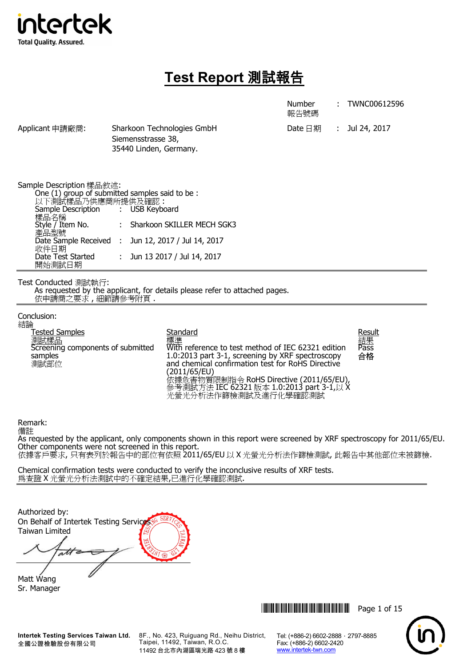

# **Test Report** 測試報告

|                                                                                                                                                                                                                            |                                              |                                                                                                                                                                                                                                                                                                                      | <b>Number</b><br>報告號碼               | TWNC00612596               |
|----------------------------------------------------------------------------------------------------------------------------------------------------------------------------------------------------------------------------|----------------------------------------------|----------------------------------------------------------------------------------------------------------------------------------------------------------------------------------------------------------------------------------------------------------------------------------------------------------------------|-------------------------------------|----------------------------|
| Applicant 申請廠商:                                                                                                                                                                                                            | Siemensstrasse 38,<br>35440 Linden, Germany. | Sharkoon Technologies GmbH                                                                                                                                                                                                                                                                                           | Date $\boxminus$ 期<br>$\mathcal{L}$ | Jul 24, 2017               |
| Sample Description 樣品敘述:<br>One (1) group of submitted samples said to be:<br>以下測試樣品乃供應商所提供及確認:<br>Sample Description<br>樣品名稱<br>Style / Item No.<br>產品型號<br>Date Sample Received :<br>收件日期<br>Date Test Started<br>開始測試日期 | <b>USB Keyboard</b>                          | : Sharkoon SKILLER MECH SGK3<br>Jun 12, 2017 / Jul 14, 2017<br>: Jun 13 2017 / Jul 14, 2017                                                                                                                                                                                                                          |                                     |                            |
| Test Conducted 測試執行:<br>依申請商之要求,細節請參考附頁.                                                                                                                                                                                   |                                              | As requested by the applicant, for details please refer to attached pages.                                                                                                                                                                                                                                           |                                     |                            |
| Conclusion:<br>結論<br>Tested Samples<br>側試樣品<br>Screening components of submitted<br>samples<br>測試部位                                                                                                                        |                                              | Standard<br>標準<br>With reference to test method of IEC 62321 edition<br>1.0:2013 part 3-1, screening by XRF spectroscopy<br>and chemical confirmation test for RoHS Directive<br>(2011/65/EU)<br>、……<br>依據危害物質限制指令 RoHS Directive (2011/65/EU),<br>參考測試方法 IEC 62321 版本 1.0:2013 part 3-1,以 X<br>光螢光分析法作篩檢測試及進行化學確認測試 |                                     | Result<br>結果<br>Pass<br>合格 |

## Remark:

備註 As requested by the applicant, only components shown in this report were screened by XRF spectroscopy for 2011/65/EU. Other components were not screened in this report. 依據客戶要求, 只有表列於報告中的部位有依照 2011/65/EU 以 X 光螢光分析法作篩檢測試, 此報告中其他部位未被篩檢.

Chemical confirmation tests were conducted to verify the inconclusive results of XRF tests. 為查證 X 光螢光分析法測試中的不確定結果,已進行化學確認測試.

Authorized by: On Behalf of Intertek Testing Service Taiwan Limited att ∕

Matt Wang Sr. Manager

**Intertek Testing Services Taiwan Ltd.** 全國公證檢驗股份有限公司

8F., No. 423, Ruiguang Rd., Neihu District, Taipei, 11492, Taiwan, R.O.C. 11492 台北市內湖區瑞光路 423 號 8 樓

\*THJ0612596\* Page 1 of 15

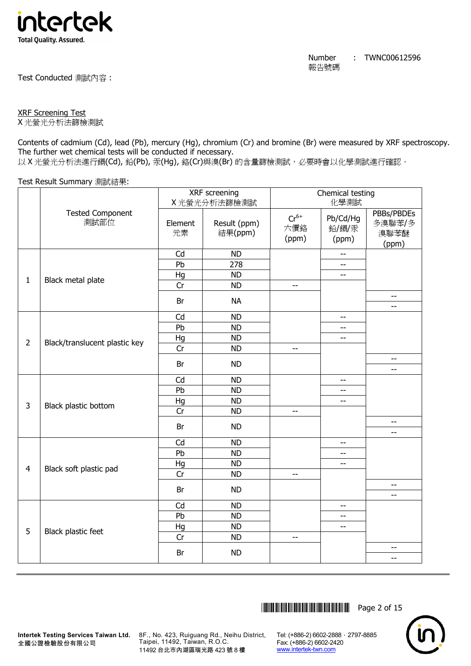

Test Conducted 測試內容 :

## XRF Screening Test

X 光螢光分析法篩檢測試

Contents of cadmium (Cd), lead (Pb), mercury (Hg), chromium (Cr) and bromine (Br) were measured by XRF spectroscopy. The further wet chemical tests will be conducted if necessary.

以 X 光螢光分析法進行鎘(Cd), 鉛(Pb), 汞(Hg), 鉻(Cr)與溴(Br) 的含量篩檢測試, 必要時會以化學測試進行確認。

Test Result Summary 測試結果:

|                |                                 | XRF screening |                         |                           | Chemical testing           |                                       |  |
|----------------|---------------------------------|---------------|-------------------------|---------------------------|----------------------------|---------------------------------------|--|
|                |                                 |               | X光螢光分析法篩檢測試             |                           | 化學測試                       |                                       |  |
|                | <b>Tested Component</b><br>測試部位 | Element<br>元素 | Result (ppm)<br>結果(ppm) | $Cr^{6+}$<br>六價鉻<br>(ppm) | Pb/Cd/Hg<br>鉛/鎘/汞<br>(ppm) | PBBs/PBDEs<br>多溴聯苯/多<br>溴聯苯醚<br>(ppm) |  |
|                |                                 | Cd            | <b>ND</b>               |                           |                            |                                       |  |
|                |                                 | Pb            | $\overline{278}$        |                           | --                         |                                       |  |
| $\mathbf{1}$   | Black metal plate               | Hg            | <b>ND</b>               |                           | $-$                        |                                       |  |
|                |                                 | Cr            | <b>ND</b>               | $-$                       |                            |                                       |  |
|                |                                 | Br            | <b>NA</b>               |                           |                            | $-$<br>$-$                            |  |
|                |                                 | Cd            | <b>ND</b>               |                           | $- -$                      |                                       |  |
|                |                                 | Pb            | <b>ND</b>               |                           | --                         |                                       |  |
|                |                                 | Hg            | <b>ND</b>               |                           | $- -$                      |                                       |  |
| $\overline{2}$ | Black/translucent plastic key   | Cr            | <b>ND</b>               | $\overline{\phantom{a}}$  |                            |                                       |  |
|                |                                 | Br            | <b>ND</b>               |                           |                            | $-$<br>$-$                            |  |
|                |                                 | Cd            | <b>ND</b>               |                           | $-$                        |                                       |  |
|                |                                 | Pb            | <b>ND</b>               |                           | $-$                        |                                       |  |
|                |                                 | Hg            | <b>ND</b>               |                           | $\overline{a}$             |                                       |  |
| $\overline{3}$ | Black plastic bottom            | Cr            | <b>ND</b>               | $-$                       |                            |                                       |  |
|                |                                 | Br            | <b>ND</b>               |                           |                            | $\overline{\phantom{a}}$              |  |
|                |                                 | Cd            | <b>ND</b>               |                           | $-$                        | --                                    |  |
|                |                                 | Pb            | <b>ND</b>               |                           | $-$                        |                                       |  |
|                |                                 | Hg            | <b>ND</b>               |                           | $-$                        |                                       |  |
| $\overline{4}$ | Black soft plastic pad          | Cr            | <b>ND</b>               | $\overline{\phantom{a}}$  |                            |                                       |  |
|                |                                 |               |                         |                           |                            | $- -$                                 |  |
|                |                                 | Br            | <b>ND</b>               |                           |                            | $-$                                   |  |
|                |                                 | Cd            | <b>ND</b>               |                           | $\overline{\phantom{a}}$   |                                       |  |
|                |                                 | Pb            | <b>ND</b>               |                           | --                         |                                       |  |
| 5              |                                 | Hg            | <b>ND</b>               |                           | $-$                        |                                       |  |
|                | Black plastic feet              | Cr            | <b>ND</b>               | --                        |                            |                                       |  |
|                |                                 | Br            | <b>ND</b>               |                           |                            | $- -$<br>--                           |  |
|                |                                 |               |                         |                           |                            |                                       |  |

\*THJ0612596\* Page 2 of 15



8F., No. 423, Ruiguang Rd., Neihu District, Taipei, 11492, Taiwan, R.O.C. 11492 台北市內湖區瑞光路 423 號 8 樓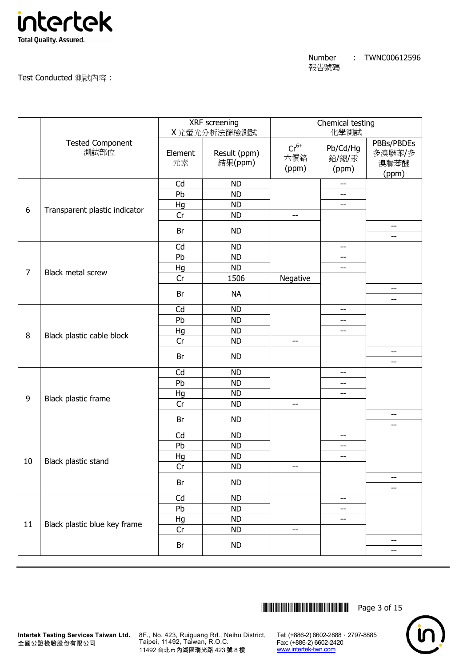

Test Conducted 測試內容 :

|                |                                 |               | XRF screening<br>X光螢光分析法篩檢測試 | Chemical testing<br>化學測試  |                            |                                       |
|----------------|---------------------------------|---------------|------------------------------|---------------------------|----------------------------|---------------------------------------|
|                | <b>Tested Component</b><br>測試部位 | Element<br>元素 | Result (ppm)<br>結果(ppm)      | $Cr^{6+}$<br>六價鉻<br>(ppm) | Pb/Cd/Hg<br>鉛/鎘/汞<br>(ppm) | PBBs/PBDEs<br>多溴聯苯/多<br>溴聯苯醚<br>(ppm) |
|                |                                 | Cd            | <b>ND</b>                    |                           | $\qquad \qquad -$          |                                       |
|                |                                 | Pb            | <b>ND</b>                    |                           | $-$                        |                                       |
| 6              | Transparent plastic indicator   | Hg            | <b>ND</b>                    |                           | --                         |                                       |
|                |                                 | Cr            | <b>ND</b>                    | $-$                       |                            |                                       |
|                |                                 | Br            | <b>ND</b>                    |                           |                            | --<br>$- -$                           |
|                |                                 | Cd            | <b>ND</b>                    |                           | $\overline{\phantom{m}}$   |                                       |
|                |                                 | Pb            | <b>ND</b>                    |                           | --                         |                                       |
|                |                                 | Hg            | <b>ND</b>                    |                           | $\overline{\phantom{a}}$   |                                       |
| $\overline{7}$ | <b>Black metal screw</b>        | Cr            | 1506                         | Negative                  |                            |                                       |
|                |                                 | Br            | <b>NA</b>                    |                           |                            | $- -$<br>--                           |
|                |                                 | Cd            | <b>ND</b>                    |                           | $-$                        |                                       |
|                |                                 | Pb            | <b>ND</b>                    |                           | $-$                        |                                       |
|                |                                 | Hg            | <b>ND</b>                    |                           | --                         |                                       |
| 8              | Black plastic cable block       | Cr            | <b>ND</b>                    | --                        |                            |                                       |
|                |                                 |               |                              |                           |                            | $-$                                   |
|                |                                 | Br            | <b>ND</b>                    |                           |                            | --                                    |
|                |                                 | Cd            | <b>ND</b>                    |                           | $-$                        |                                       |
|                |                                 | Pb            | <b>ND</b>                    |                           | --                         |                                       |
| 9              |                                 | Hg            | <b>ND</b>                    |                           | $\overline{\phantom{a}}$   |                                       |
|                | Black plastic frame             | Cr            | <b>ND</b>                    | $-$                       |                            |                                       |
|                |                                 | Br            | <b>ND</b>                    |                           |                            | --                                    |
|                |                                 | Cd            | <b>ND</b>                    |                           | $-$                        | --                                    |
|                |                                 | Pb            | <b>ND</b>                    |                           | $\overline{\phantom{m}}$   |                                       |
|                |                                 | Hg            | <b>ND</b>                    |                           | $-$                        |                                       |
| 10             | Black plastic stand             | Cr            | <b>ND</b>                    | --                        |                            |                                       |
|                |                                 |               |                              |                           |                            | --                                    |
|                |                                 | Br            | <b>ND</b>                    |                           |                            | --                                    |
|                |                                 | Cd            | <b>ND</b>                    |                           | $\qquad \qquad -$          |                                       |
|                |                                 | Pb            | <b>ND</b>                    |                           | --                         |                                       |
| 11             |                                 | Hg            | <b>ND</b>                    |                           | --                         |                                       |
|                | Black plastic blue key frame    | Cr            | <b>ND</b>                    | $-$                       |                            |                                       |
|                |                                 | Br            | <b>ND</b>                    |                           |                            | --<br>--                              |
|                |                                 |               |                              |                           |                            |                                       |

\*THJ0612596\* Page 3 of 15



**Intertek Testing Services Taiwan Ltd.** 8F., No. 423, Ruiguang Rd., Neihu District, Taipei, 11492, Taiwan, R.O.C. 11492 台北市內湖區瑞光路 423 號 8 樓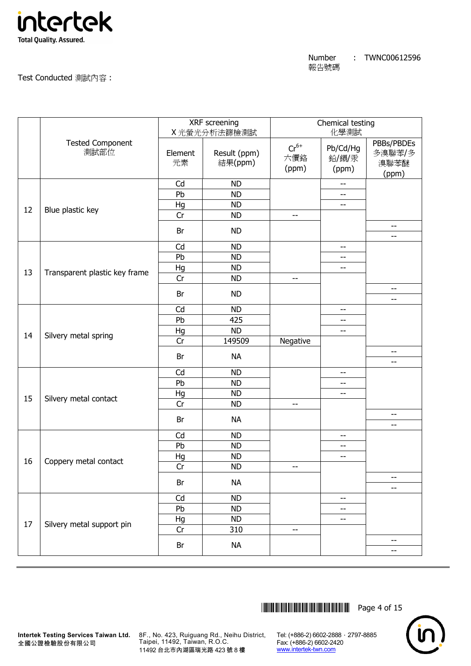

Test Conducted 測試內容 :

|    |                                 | XRF screening<br>X光螢光分析法篩檢測試 |                         | Chemical testing<br>化學測試  |                            |                                       |
|----|---------------------------------|------------------------------|-------------------------|---------------------------|----------------------------|---------------------------------------|
|    | <b>Tested Component</b><br>測試部位 | Element<br>元素                | Result (ppm)<br>結果(ppm) | $Cr^{6+}$<br>六價鉻<br>(ppm) | Pb/Cd/Hg<br>鉛/鎘/汞<br>(ppm) | PBBs/PBDEs<br>多溴聯苯/多<br>溴聯苯醚<br>(ppm) |
|    |                                 | Cd                           | <b>ND</b>               |                           | $-$                        |                                       |
|    |                                 | Pb                           | <b>ND</b>               |                           | $-$                        |                                       |
| 12 | Blue plastic key                | Hg                           | <b>ND</b>               |                           | --                         |                                       |
|    |                                 | Cr                           | <b>ND</b>               | $\overline{\phantom{a}}$  |                            |                                       |
|    |                                 | Br                           | <b>ND</b>               |                           |                            | --<br>--                              |
|    |                                 | Cd                           | <b>ND</b>               |                           | $\overline{\phantom{m}}$   |                                       |
|    |                                 | Pb                           | <b>ND</b>               |                           | --                         |                                       |
|    |                                 | Hg                           | <b>ND</b>               |                           | $-$                        |                                       |
| 13 | Transparent plastic key frame   | Cr                           | <b>ND</b>               | $-$                       |                            |                                       |
|    |                                 | Br                           | <b>ND</b>               |                           |                            | $-$                                   |
|    |                                 |                              |                         |                           |                            | --                                    |
|    |                                 | Cd                           | <b>ND</b>               |                           | $-$                        |                                       |
|    |                                 | Pb                           | 425                     |                           | --                         |                                       |
| 14 |                                 | Hg                           | <b>ND</b>               |                           | --                         |                                       |
|    | Silvery metal spring            | Cr                           | 149509                  | Negative                  |                            |                                       |
|    |                                 | Br                           | <b>NA</b>               |                           |                            | $\qquad \qquad -$<br>--               |
|    |                                 | Cd                           | <b>ND</b>               |                           | $\qquad \qquad -$          |                                       |
|    |                                 | Pb                           | <b>ND</b>               |                           | --                         |                                       |
|    |                                 | Hg                           | <b>ND</b>               |                           | $\overline{\phantom{m}}$   |                                       |
| 15 | Silvery metal contact           | Cr                           | <b>ND</b>               | $- -$                     |                            |                                       |
|    |                                 | Br                           | <b>NA</b>               |                           |                            | --<br>--                              |
|    |                                 | Cd                           | <b>ND</b>               |                           | $-$                        |                                       |
|    |                                 | Pb                           | <b>ND</b>               |                           | $ -$                       |                                       |
|    |                                 | Hg                           | <b>ND</b>               |                           | --                         |                                       |
| 16 | Coppery metal contact           | Cr                           | <b>ND</b>               | --                        |                            |                                       |
|    |                                 | Br                           | <b>NA</b>               |                           |                            | $\qquad \qquad -$                     |
|    |                                 |                              |                         |                           |                            | --                                    |
|    |                                 | Cd                           | <b>ND</b>               |                           | $\overline{\phantom{m}}$   |                                       |
|    |                                 | Pb                           | <b>ND</b>               |                           | --                         |                                       |
| 17 | Silvery metal support pin       | Hg                           | <b>ND</b>               |                           | $\overline{\phantom{a}}$   |                                       |
|    |                                 | Cr                           | 310                     | $-$                       |                            |                                       |
|    |                                 | Br                           | <b>NA</b>               |                           |                            | --<br>$\overline{\phantom{m}}$        |
|    |                                 |                              |                         |                           |                            |                                       |

\*THJ0612596\* Page 4 of 15



**Intertek Testing Services Taiwan Ltd.** 8F., No. 423, Ruiguang Rd., Neihu District, Taipei, 11492, Taiwan, R.O.C. 11492 台北市內湖區瑞光路 423 號 8 樓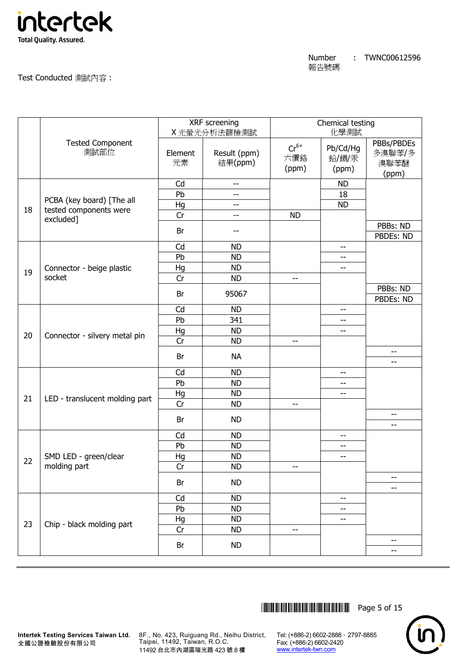

Test Conducted 測試內容 :

|    |                                 | XRF screening<br>X光螢光分析法篩檢測試 |                         | Chemical testing<br>化學測試  |                            |                                       |
|----|---------------------------------|------------------------------|-------------------------|---------------------------|----------------------------|---------------------------------------|
|    | <b>Tested Component</b><br>測試部位 | Element<br>元素                | Result (ppm)<br>結果(ppm) | $Cr^{6+}$<br>六價鉻<br>(ppm) | Pb/Cd/Hg<br>鉛/鎘/汞<br>(ppm) | PBBs/PBDEs<br>多溴聯苯/多<br>溴聯苯醚<br>(ppm) |
|    |                                 | Cd                           | $-$                     |                           | <b>ND</b>                  |                                       |
|    | PCBA (key board) [The all       | Pb                           | --                      |                           | 18                         |                                       |
| 18 | tested components were          | Hg                           | --                      |                           | <b>ND</b>                  |                                       |
|    | excluded]                       | Cr                           | --                      | <b>ND</b>                 |                            |                                       |
|    |                                 | Br                           | --                      |                           |                            | PBBs: ND<br>PBDEs: ND                 |
|    |                                 | Cd                           | <b>ND</b>               |                           | $\overline{\phantom{a}}$   |                                       |
|    |                                 | Pb                           | <b>ND</b>               |                           | $-$                        |                                       |
| 19 | Connector - beige plastic       | Hg                           | <b>ND</b>               |                           | $\overline{\phantom{a}}$   |                                       |
|    | socket                          | Cr                           | <b>ND</b>               | $-\!$ $\!-$               |                            |                                       |
|    |                                 | Br                           | 95067                   |                           |                            | PBBs: ND<br>PBDEs: ND                 |
|    |                                 | Cd                           | <b>ND</b>               |                           | $-$                        |                                       |
|    |                                 | Pb                           | 341                     |                           | --                         |                                       |
| 20 |                                 | Hg                           | <b>ND</b>               |                           | --                         |                                       |
|    | Connector - silvery metal pin   | Cr                           | <b>ND</b>               | $-\!$ $\!-$               |                            |                                       |
|    |                                 | Br                           | <b>NA</b>               |                           |                            | --<br>--                              |
|    |                                 | Cd                           | <b>ND</b>               |                           | $-$                        |                                       |
|    |                                 | Pb                           | <b>ND</b>               |                           | --                         |                                       |
|    |                                 | Hg                           | <b>ND</b>               |                           | --                         |                                       |
| 21 | LED - translucent molding part  | Cr                           | <b>ND</b>               | --                        |                            |                                       |
|    |                                 | Br                           | <b>ND</b>               |                           |                            | --<br>--                              |
|    |                                 | Cd                           | <b>ND</b>               |                           | $\overline{\phantom{a}}$   |                                       |
|    |                                 | Pb                           | <b>ND</b>               |                           | $\overline{\phantom{m}}$   |                                       |
| 22 | SMD LED - green/clear           | Hg                           | <b>ND</b>               |                           | --                         |                                       |
|    | molding part                    | Cr                           | <b>ND</b>               | --                        |                            |                                       |
|    |                                 | Br                           | <b>ND</b>               |                           |                            | --<br>--                              |
|    |                                 | Cd                           | <b>ND</b>               |                           | --                         |                                       |
|    |                                 | Pb                           | <b>ND</b>               |                           | --                         |                                       |
|    |                                 | Hg                           | <b>ND</b>               |                           | --                         |                                       |
| 23 | Chip - black molding part       | Cr                           | <b>ND</b>               | $-\,$ $-$                 |                            |                                       |
|    |                                 | Br                           | <b>ND</b>               |                           |                            | --<br>--                              |
|    |                                 |                              |                         |                           |                            |                                       |

\*THJ0612596\* Page 5 of 15



全國公證檢驗股份有限公司

**Intertek Testing Services Taiwan Ltd.** 8F., No. 423, Ruiguang Rd., Neihu District, Taipei, 11492, Taiwan, R.O.C. 11492 台北市內湖區瑞光路 423 號 8 樓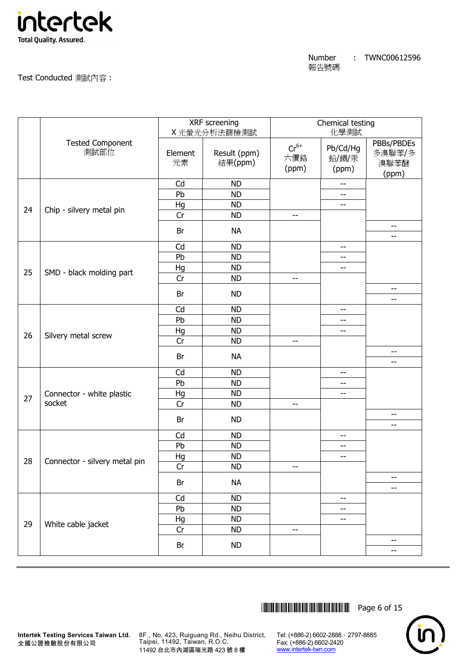

Test Conducted 測試內容 :

|    |                                 |               | XRF screening<br>X光螢光分析法篩檢測試 |                           | Chemical testing<br>化學測試   |                                       |  |
|----|---------------------------------|---------------|------------------------------|---------------------------|----------------------------|---------------------------------------|--|
|    | <b>Tested Component</b><br>測試部位 | Element<br>元素 | Result (ppm)<br>結果(ppm)      | $Cr^{6+}$<br>六價鉻<br>(ppm) | Pb/Cd/Hg<br>鉛/鎘/汞<br>(ppm) | PBBs/PBDEs<br>多溴聯苯/多<br>溴聯苯醚<br>(ppm) |  |
|    |                                 | Cd            | <b>ND</b>                    |                           | $\overline{\phantom{a}}$   |                                       |  |
|    |                                 | Pb            | <b>ND</b>                    |                           | $-$                        |                                       |  |
| 24 | Chip - silvery metal pin        | Hg            | <b>ND</b>                    |                           | $\overline{\phantom{a}}$   |                                       |  |
|    |                                 | Cr            | <b>ND</b>                    | $\overline{\phantom{m}}$  |                            |                                       |  |
|    |                                 | Br            | <b>NA</b>                    |                           |                            | --<br>$- -$                           |  |
|    |                                 | Cd            | <b>ND</b>                    |                           | $\overline{\phantom{a}}$   |                                       |  |
|    |                                 | Pb            | <b>ND</b>                    |                           | $\overline{\phantom{m}}$   |                                       |  |
| 25 |                                 | Hg            | <b>ND</b>                    |                           | $\overline{\phantom{m}}$   |                                       |  |
|    | SMD - black molding part        | Cr            | <b>ND</b>                    | --                        |                            |                                       |  |
|    |                                 | Br            | <b>ND</b>                    |                           |                            | $\overline{\phantom{m}}$<br>--        |  |
|    |                                 | Cd            | <b>ND</b>                    |                           | $-$                        |                                       |  |
|    |                                 | Pb            | <b>ND</b>                    |                           | $- -$                      |                                       |  |
|    |                                 | Hg            | <b>ND</b>                    |                           | $\overline{\phantom{m}}$   |                                       |  |
| 26 | Silvery metal screw             | Cr            | <b>ND</b>                    | $- -$                     |                            |                                       |  |
|    |                                 | Br            | <b>NA</b>                    |                           |                            | --<br>$- -$                           |  |
|    |                                 | Cd            | <b>ND</b>                    |                           | $\overline{\phantom{a}}$   |                                       |  |
|    |                                 | Pb            | <b>ND</b>                    |                           | $-$                        |                                       |  |
|    | Connector - white plastic       | Hg            | <b>ND</b>                    |                           | $\overline{\phantom{m}}$   |                                       |  |
| 27 | socket                          | Cr            | <b>ND</b>                    | $-$                       |                            |                                       |  |
|    |                                 |               |                              |                           |                            | --                                    |  |
|    |                                 | Br            | <b>ND</b>                    |                           |                            | --                                    |  |
|    |                                 | Cd            | <b>ND</b>                    |                           | $\overline{\phantom{m}}$   |                                       |  |
|    |                                 | Pb            | <b>ND</b>                    |                           | $\overline{\phantom{m}}$   |                                       |  |
|    |                                 | Hg            | <b>ND</b>                    |                           | $- -$                      |                                       |  |
| 28 | Connector - silvery metal pin   | Cr            | <b>ND</b>                    | --                        |                            |                                       |  |
|    |                                 | Br            | <b>NA</b>                    |                           |                            | --<br>$-$                             |  |
|    |                                 | Cd            | <b>ND</b>                    |                           | $\overline{\phantom{a}}$   |                                       |  |
|    |                                 | Pb            | <b>ND</b>                    |                           | --                         |                                       |  |
|    |                                 | Hg            | <b>ND</b>                    |                           | --                         |                                       |  |
| 29 | White cable jacket              | Cr            | <b>ND</b>                    | $-\, -$                   |                            |                                       |  |
|    |                                 | Br            | <b>ND</b>                    |                           |                            | --                                    |  |
|    |                                 |               |                              |                           |                            | --                                    |  |

\*THJ0612596\* Page 6 of 15



**Intertek Testing Services Taiwan Ltd.** 8F., No. 423, Ruiguang Rd., Neihu District, Taipei, 11492, Taiwan, R.O.C. 11492 台北市內湖區瑞光路 423 號 8 樓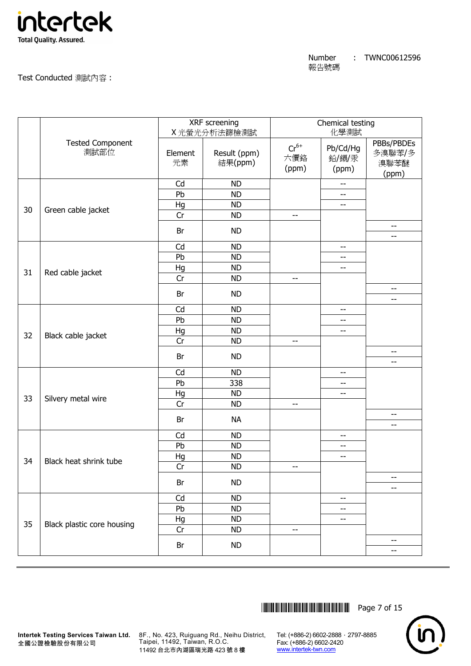

Test Conducted 測試內容 :

|    |                                 | XRF screening<br>X光螢光分析法篩檢測試 |                         | Chemical testing<br>化學測試  |                            |                                       |
|----|---------------------------------|------------------------------|-------------------------|---------------------------|----------------------------|---------------------------------------|
|    | <b>Tested Component</b><br>測試部位 | Element<br>元素                | Result (ppm)<br>結果(ppm) | $Cr^{6+}$<br>六價鉻<br>(ppm) | Pb/Cd/Hg<br>鉛/鎘/汞<br>(ppm) | PBBs/PBDEs<br>多溴聯苯/多<br>溴聯苯醚<br>(ppm) |
|    |                                 | Cd                           | <b>ND</b>               |                           | $-$                        |                                       |
|    |                                 | Pb                           | <b>ND</b>               |                           | $-$                        |                                       |
| 30 | Green cable jacket              | Hg                           | <b>ND</b>               |                           | --                         |                                       |
|    |                                 | Cr                           | <b>ND</b>               | $\overline{\phantom{a}}$  |                            |                                       |
|    |                                 | Br                           | <b>ND</b>               |                           |                            | $\qquad \qquad -$<br>--               |
|    |                                 | Cd                           | <b>ND</b>               |                           | $- -$                      |                                       |
|    |                                 | Pb                           | <b>ND</b>               |                           | --                         |                                       |
|    |                                 | Hg                           | <b>ND</b>               |                           | $-$                        |                                       |
| 31 | Red cable jacket                | Cr                           | <b>ND</b>               | $-$                       |                            |                                       |
|    |                                 | Br                           | <b>ND</b>               |                           |                            | $- -$<br>--                           |
|    |                                 | Cd                           | <b>ND</b>               |                           | --                         |                                       |
|    |                                 | Pb                           | <b>ND</b>               |                           | $-$                        |                                       |
|    |                                 | Hg                           | <b>ND</b>               |                           | --                         |                                       |
| 32 | Black cable jacket              | Cr                           | <b>ND</b>               | $- -$                     |                            |                                       |
|    |                                 |                              |                         |                           |                            | --                                    |
|    |                                 | Br                           | <b>ND</b>               |                           |                            | --                                    |
|    |                                 | Cd                           | <b>ND</b>               |                           | $\overline{\phantom{m}}$   |                                       |
|    |                                 | Pb                           | 338                     |                           | --                         |                                       |
| 33 |                                 | Hg                           | <b>ND</b>               |                           | $\overline{\phantom{m}}$   |                                       |
|    | Silvery metal wire              | Cr                           | <b>ND</b>               | $\overline{\phantom{a}}$  |                            |                                       |
|    |                                 | Br                           | <b>NA</b>               |                           |                            | --<br>--                              |
|    |                                 | Cd                           | <b>ND</b>               |                           | $-$                        |                                       |
|    |                                 | Pb                           | <b>ND</b>               |                           | $ -$                       |                                       |
|    |                                 | Hg                           | <b>ND</b>               |                           | --                         |                                       |
| 34 | Black heat shrink tube          | Cr                           | <b>ND</b>               | --                        |                            |                                       |
|    |                                 | Br                           | <b>ND</b>               |                           |                            | $\qquad \qquad -$                     |
|    |                                 |                              |                         |                           |                            | --                                    |
|    |                                 | Cd<br>Pb                     | <b>ND</b><br><b>ND</b>  |                           | $\overline{\phantom{m}}$   |                                       |
|    |                                 |                              |                         |                           | $\qquad \qquad -$          |                                       |
| 35 | Black plastic core housing      | Hg<br>Cr                     | <b>ND</b><br><b>ND</b>  | $-$                       | $\overline{\phantom{m}}$   |                                       |
|    |                                 |                              |                         |                           |                            | --                                    |
|    |                                 | Br                           | ND                      |                           |                            | --                                    |
|    |                                 |                              |                         |                           |                            |                                       |

\*THJ0612596\* Page 7 of 15



**Intertek Testing Services Taiwan Ltd.** 8F., No. 423, Ruiguang Rd., Neihu District, Taipei, 11492, Taiwan, R.O.C. 11492 台北市內湖區瑞光路 423 號 8 樓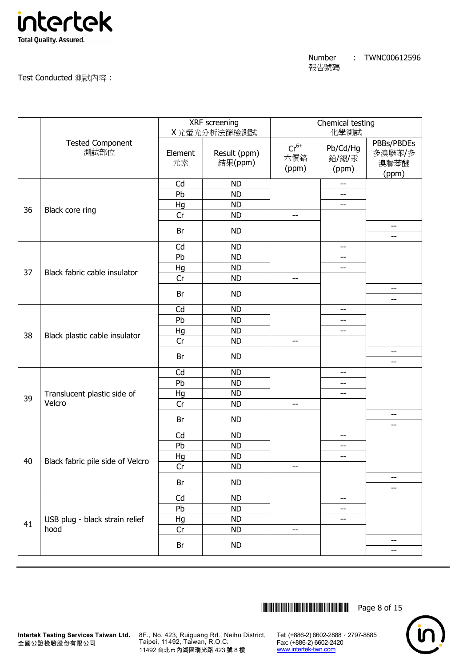

Test Conducted 測試內容 :

| <b>Tested Component</b><br>PBBs/PBDEs<br>$Cr^{6+}$<br>Pb/Cd/Hg<br>測試部位<br>Result (ppm)<br>多溴聯苯/多<br>Element<br>六價鉻<br>鉛/鎘/汞<br>元素<br>結果(ppm)<br>溴聯苯醚<br>(ppm)<br>(ppm)<br>(ppm)<br>Cd<br><b>ND</b><br>$\overline{\phantom{m}}$<br>Pb<br><b>ND</b><br>$-$<br><b>ND</b><br>Hg<br>--<br>36<br>Black core ring<br>Cr<br><b>ND</b><br>$-$<br>--<br>Br<br><b>ND</b><br>$- -$<br>Cd<br><b>ND</b><br>$\qquad \qquad -$<br>Pb<br><b>ND</b><br>$-$<br>Hg<br><b>ND</b><br>$\overline{\phantom{a}}$<br>37<br>Black fabric cable insulator<br>Cr<br><b>ND</b><br>$-$<br>$- -$<br><b>ND</b><br>Br<br>--<br>Cd<br><b>ND</b><br>$-$<br>Pb<br><b>ND</b><br>$-$<br>Hg<br><b>ND</b><br>$-$<br>38<br>Black plastic cable insulator<br>Cr<br><b>ND</b><br>$-$<br>$-$<br>Br<br><b>ND</b><br>--<br>Cd<br><b>ND</b><br>$-$<br>Pb<br><b>ND</b><br>--<br>Hg<br><b>ND</b><br>Translucent plastic side of<br>$\overline{\phantom{a}}$<br>39<br>Velcro<br>Cr<br><b>ND</b><br>$-$<br>$-$<br>Br<br><b>ND</b><br>--<br>Cd<br><b>ND</b><br>$-$<br>Pb<br><b>ND</b><br>$\overline{\phantom{m}}$<br><b>ND</b><br>Hg<br>$-$<br>40<br>Black fabric pile side of Velcro<br>Cr<br><b>ND</b><br>--<br>--<br>Br<br><b>ND</b><br>--<br>Cd<br><b>ND</b><br>$\qquad \qquad -$<br>Pb<br><b>ND</b><br>--<br>USB plug - black strain relief<br>Hg<br>ND<br>$\overline{\phantom{m}}$<br>41<br>hood<br>Cr<br><b>ND</b><br>$\overline{\phantom{m}}$<br>$- -$<br><b>ND</b><br>Br<br>-- |  | XRF screening<br>X光螢光分析法篩檢測試 | Chemical testing<br>化學測試 |  |  |
|------------------------------------------------------------------------------------------------------------------------------------------------------------------------------------------------------------------------------------------------------------------------------------------------------------------------------------------------------------------------------------------------------------------------------------------------------------------------------------------------------------------------------------------------------------------------------------------------------------------------------------------------------------------------------------------------------------------------------------------------------------------------------------------------------------------------------------------------------------------------------------------------------------------------------------------------------------------------------------------------------------------------------------------------------------------------------------------------------------------------------------------------------------------------------------------------------------------------------------------------------------------------------------------------------------------------------------------------------------------------------------------------------------------------------------|--|------------------------------|--------------------------|--|--|
|                                                                                                                                                                                                                                                                                                                                                                                                                                                                                                                                                                                                                                                                                                                                                                                                                                                                                                                                                                                                                                                                                                                                                                                                                                                                                                                                                                                                                                    |  |                              |                          |  |  |
|                                                                                                                                                                                                                                                                                                                                                                                                                                                                                                                                                                                                                                                                                                                                                                                                                                                                                                                                                                                                                                                                                                                                                                                                                                                                                                                                                                                                                                    |  |                              |                          |  |  |
|                                                                                                                                                                                                                                                                                                                                                                                                                                                                                                                                                                                                                                                                                                                                                                                                                                                                                                                                                                                                                                                                                                                                                                                                                                                                                                                                                                                                                                    |  |                              |                          |  |  |
|                                                                                                                                                                                                                                                                                                                                                                                                                                                                                                                                                                                                                                                                                                                                                                                                                                                                                                                                                                                                                                                                                                                                                                                                                                                                                                                                                                                                                                    |  |                              |                          |  |  |
|                                                                                                                                                                                                                                                                                                                                                                                                                                                                                                                                                                                                                                                                                                                                                                                                                                                                                                                                                                                                                                                                                                                                                                                                                                                                                                                                                                                                                                    |  |                              |                          |  |  |
|                                                                                                                                                                                                                                                                                                                                                                                                                                                                                                                                                                                                                                                                                                                                                                                                                                                                                                                                                                                                                                                                                                                                                                                                                                                                                                                                                                                                                                    |  |                              |                          |  |  |
|                                                                                                                                                                                                                                                                                                                                                                                                                                                                                                                                                                                                                                                                                                                                                                                                                                                                                                                                                                                                                                                                                                                                                                                                                                                                                                                                                                                                                                    |  |                              |                          |  |  |
|                                                                                                                                                                                                                                                                                                                                                                                                                                                                                                                                                                                                                                                                                                                                                                                                                                                                                                                                                                                                                                                                                                                                                                                                                                                                                                                                                                                                                                    |  |                              |                          |  |  |
|                                                                                                                                                                                                                                                                                                                                                                                                                                                                                                                                                                                                                                                                                                                                                                                                                                                                                                                                                                                                                                                                                                                                                                                                                                                                                                                                                                                                                                    |  |                              |                          |  |  |
|                                                                                                                                                                                                                                                                                                                                                                                                                                                                                                                                                                                                                                                                                                                                                                                                                                                                                                                                                                                                                                                                                                                                                                                                                                                                                                                                                                                                                                    |  |                              |                          |  |  |
|                                                                                                                                                                                                                                                                                                                                                                                                                                                                                                                                                                                                                                                                                                                                                                                                                                                                                                                                                                                                                                                                                                                                                                                                                                                                                                                                                                                                                                    |  |                              |                          |  |  |
|                                                                                                                                                                                                                                                                                                                                                                                                                                                                                                                                                                                                                                                                                                                                                                                                                                                                                                                                                                                                                                                                                                                                                                                                                                                                                                                                                                                                                                    |  |                              |                          |  |  |
|                                                                                                                                                                                                                                                                                                                                                                                                                                                                                                                                                                                                                                                                                                                                                                                                                                                                                                                                                                                                                                                                                                                                                                                                                                                                                                                                                                                                                                    |  |                              |                          |  |  |
|                                                                                                                                                                                                                                                                                                                                                                                                                                                                                                                                                                                                                                                                                                                                                                                                                                                                                                                                                                                                                                                                                                                                                                                                                                                                                                                                                                                                                                    |  |                              |                          |  |  |
|                                                                                                                                                                                                                                                                                                                                                                                                                                                                                                                                                                                                                                                                                                                                                                                                                                                                                                                                                                                                                                                                                                                                                                                                                                                                                                                                                                                                                                    |  |                              |                          |  |  |
|                                                                                                                                                                                                                                                                                                                                                                                                                                                                                                                                                                                                                                                                                                                                                                                                                                                                                                                                                                                                                                                                                                                                                                                                                                                                                                                                                                                                                                    |  |                              |                          |  |  |
|                                                                                                                                                                                                                                                                                                                                                                                                                                                                                                                                                                                                                                                                                                                                                                                                                                                                                                                                                                                                                                                                                                                                                                                                                                                                                                                                                                                                                                    |  |                              |                          |  |  |
|                                                                                                                                                                                                                                                                                                                                                                                                                                                                                                                                                                                                                                                                                                                                                                                                                                                                                                                                                                                                                                                                                                                                                                                                                                                                                                                                                                                                                                    |  |                              |                          |  |  |
|                                                                                                                                                                                                                                                                                                                                                                                                                                                                                                                                                                                                                                                                                                                                                                                                                                                                                                                                                                                                                                                                                                                                                                                                                                                                                                                                                                                                                                    |  |                              |                          |  |  |
|                                                                                                                                                                                                                                                                                                                                                                                                                                                                                                                                                                                                                                                                                                                                                                                                                                                                                                                                                                                                                                                                                                                                                                                                                                                                                                                                                                                                                                    |  |                              |                          |  |  |
|                                                                                                                                                                                                                                                                                                                                                                                                                                                                                                                                                                                                                                                                                                                                                                                                                                                                                                                                                                                                                                                                                                                                                                                                                                                                                                                                                                                                                                    |  |                              |                          |  |  |
|                                                                                                                                                                                                                                                                                                                                                                                                                                                                                                                                                                                                                                                                                                                                                                                                                                                                                                                                                                                                                                                                                                                                                                                                                                                                                                                                                                                                                                    |  |                              |                          |  |  |
|                                                                                                                                                                                                                                                                                                                                                                                                                                                                                                                                                                                                                                                                                                                                                                                                                                                                                                                                                                                                                                                                                                                                                                                                                                                                                                                                                                                                                                    |  |                              |                          |  |  |
|                                                                                                                                                                                                                                                                                                                                                                                                                                                                                                                                                                                                                                                                                                                                                                                                                                                                                                                                                                                                                                                                                                                                                                                                                                                                                                                                                                                                                                    |  |                              |                          |  |  |
|                                                                                                                                                                                                                                                                                                                                                                                                                                                                                                                                                                                                                                                                                                                                                                                                                                                                                                                                                                                                                                                                                                                                                                                                                                                                                                                                                                                                                                    |  |                              |                          |  |  |
|                                                                                                                                                                                                                                                                                                                                                                                                                                                                                                                                                                                                                                                                                                                                                                                                                                                                                                                                                                                                                                                                                                                                                                                                                                                                                                                                                                                                                                    |  |                              |                          |  |  |
|                                                                                                                                                                                                                                                                                                                                                                                                                                                                                                                                                                                                                                                                                                                                                                                                                                                                                                                                                                                                                                                                                                                                                                                                                                                                                                                                                                                                                                    |  |                              |                          |  |  |
|                                                                                                                                                                                                                                                                                                                                                                                                                                                                                                                                                                                                                                                                                                                                                                                                                                                                                                                                                                                                                                                                                                                                                                                                                                                                                                                                                                                                                                    |  |                              |                          |  |  |
|                                                                                                                                                                                                                                                                                                                                                                                                                                                                                                                                                                                                                                                                                                                                                                                                                                                                                                                                                                                                                                                                                                                                                                                                                                                                                                                                                                                                                                    |  |                              |                          |  |  |
|                                                                                                                                                                                                                                                                                                                                                                                                                                                                                                                                                                                                                                                                                                                                                                                                                                                                                                                                                                                                                                                                                                                                                                                                                                                                                                                                                                                                                                    |  |                              |                          |  |  |
|                                                                                                                                                                                                                                                                                                                                                                                                                                                                                                                                                                                                                                                                                                                                                                                                                                                                                                                                                                                                                                                                                                                                                                                                                                                                                                                                                                                                                                    |  |                              |                          |  |  |
|                                                                                                                                                                                                                                                                                                                                                                                                                                                                                                                                                                                                                                                                                                                                                                                                                                                                                                                                                                                                                                                                                                                                                                                                                                                                                                                                                                                                                                    |  |                              |                          |  |  |



**Intertek Testing Services Taiwan Ltd.** 8F., No. 423, Ruiguang Rd., Neihu District, Taipei, 11492, Taiwan, R.O.C. 11492 台北市內湖區瑞光路 423 號 8 樓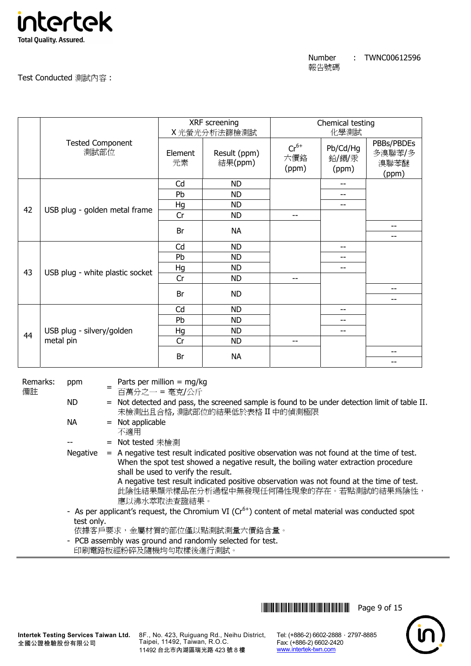

| Number | TWNC00612596 |
|--------|--------------|
| 報告號碼   |              |

Test Conducted 測試內容 :

|    |                                 | XRF screening<br>X光螢光分析法篩檢測試 |                         | Chemical testing<br>化學測試  |                            |                                       |
|----|---------------------------------|------------------------------|-------------------------|---------------------------|----------------------------|---------------------------------------|
|    | <b>Tested Component</b><br>測試部位 | Element<br>元素                | Result (ppm)<br>結果(ppm) | $Cr^{6+}$<br>六價鉻<br>(ppm) | Pb/Cd/Hg<br>鉛/鎘/汞<br>(ppm) | PBBs/PBDEs<br>多溴聯苯/多<br>溴聯苯醚<br>(ppm) |
|    |                                 | Cd                           | <b>ND</b>               |                           | --                         |                                       |
|    |                                 | Pb                           | <b>ND</b>               |                           | --                         |                                       |
| 42 | USB plug - golden metal frame   | Hg                           | <b>ND</b>               |                           | --                         |                                       |
|    |                                 | Cr                           | <b>ND</b>               | $- -$                     |                            |                                       |
|    |                                 | Br                           | <b>NA</b>               |                           |                            | $-$<br>$-$                            |
|    |                                 | Cd                           | <b>ND</b>               |                           | --                         |                                       |
|    |                                 | Pb                           | <b>ND</b>               |                           | --                         |                                       |
| 43 | USB plug - white plastic socket | Hg                           | <b>ND</b>               |                           | --                         |                                       |
|    |                                 | Cr                           | <b>ND</b>               | --                        |                            |                                       |
|    |                                 | Br                           | <b>ND</b>               |                           |                            | $- -$                                 |
|    |                                 |                              |                         |                           |                            | $-$                                   |
|    |                                 | Cd                           | <b>ND</b>               |                           | --                         |                                       |
|    |                                 | Pb                           | <b>ND</b>               |                           | --                         |                                       |
| 44 | USB plug - silvery/golden       | Hg                           | <b>ND</b>               |                           | --                         |                                       |
|    | metal pin                       | Cr                           | <b>ND</b>               | --                        |                            |                                       |
|    |                                 | Br                           | <b>NA</b>               |                           |                            | $- -$<br>--                           |

Remarks: 備註

= Parts per million  $=$  mg/kg

ppm

百萬分之一 = 毫克/公斤

- ND = Not detected and pass, the screened sample is found to be under detection limit of table II. 未檢測出且合格, 測試部位的結果低於表格 II 中的偵測極限
- $NA = Not applicable$ 
	- 不適用
	- = Not tested 未檢測
- Negative = A negative test result indicated positive observation was not found at the time of test. When the spot test showed a negative result, the boiling water extraction procedure shall be used to verify the result.

A negative test result indicated positive observation was not found at the time of test. 此陰性結果顯示樣品在分析過程中無發現任何陽性現象的存在。若點測試的結果為陰性, 應以沸水萃取法查證結果。

- As per applicant's request, the Chromium VI ( $Cr<sup>6+</sup>$ ) content of metal material was conducted spot test only.
	- 依據客戶要求,金屬材質的部位僅以點測試測量六價鉻含量。
- PCB assembly was ground and randomly selected for test.
- 印刷電路板經粉碎及隨機均勻取樣後進行測試。

**THEFT IN SET OF 15** THE SET OF 15

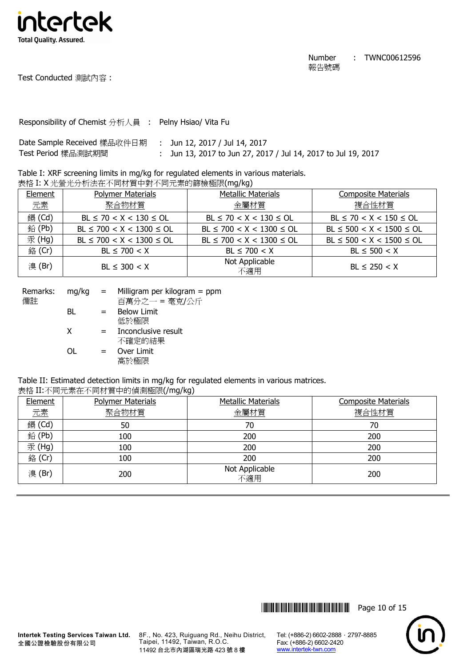

Test Conducted 測試內容 :

Responsibility of Chemist 分析人員 : Pelny Hsiao/ Vita Fu

| Date Sample Received 樣品收件日期   :  Jun 12, 2017 / Jul 14, 2017 |                                                               |
|--------------------------------------------------------------|---------------------------------------------------------------|
| Test Period 樣品測試期間                                           | : Jun 13, 2017 to Jun 27, 2017 / Jul 14, 2017 to Jul 19, 2017 |

Table I: XRF screening limits in mg/kg for regulated elements in various materials. 表格 I: X 光螢光分析法在不同材質中對不同元素的篩檢極限(mg/kg)

| Element | <b>Polymer Materials</b>       | <b>Metallic Materials</b>      | <b>Composite Materials</b>     |
|---------|--------------------------------|--------------------------------|--------------------------------|
| 元素      | 聚合物材質                          | 金屬材質                           | 複合性材質                          |
| 鎘 (Cd)  | $BL \le 70 < X < 130 \le OL$   | $BL \le 70 < X < 130 \le OL$   | $BL \le 70 < X < 150 \le OL$   |
| 鉛(Pb)   | $BL \le 700 < X < 1300 \le OL$ | $BL \le 700 < X < 1300 \le OL$ | $BL \le 500 < X < 1500 \le OL$ |
| 汞 (Hg)  | $BL \le 700 < X < 1300 \le OL$ | $BL \le 700 < X < 1300 \le OL$ | $BL \le 500 < X < 1500 \le OL$ |
| 銘 (Cr)  | $BL \le 700 < X$               | $BL \le 700 < X$               | $BL \le 500 < X$               |
| 溴(Br)   | $BL \leq 300 < X$              | Not Applicable<br>不適用          | $BL \le 250 < X$               |

| Remarks:<br>備註 | $mq/kg =$ |     | Milligram per kilogram $=$ ppm<br>百萬分之一 = 毫克/公斤 |
|----------------|-----------|-----|-------------------------------------------------|
|                | BL        | $=$ | <b>Below Limit</b><br>低於極限                      |
|                | X         | $=$ | Inconclusive result<br>不確定的結果                   |
|                | ΩL        | $=$ | Over Limit<br>高於極限                              |

Table II: Estimated detection limits in mg/kg for regulated elements in various matrices.

### 表格 II:不同元素在不同材質中的偵測極限(/mg/kg)

| Element | <b>Polymer Materials</b> | <b>Metallic Materials</b> | <b>Composite Materials</b> |
|---------|--------------------------|---------------------------|----------------------------|
| 元素      | 聚合物材質                    | 金屬材質                      | 複合性材質                      |
| 鎘 (Cd)  | 50                       | 70                        | 70                         |
| 鉛(Pb)   | 100                      | 200                       | 200                        |
| 汞(Hg)   | 100                      | 200                       | 200                        |
| 銘 (Cr)  | 100                      | 200                       | 200                        |
| 溴(Br)   | 200                      | Not Applicable<br>不適用     | 200                        |



**Intertek Testing Services Taiwan Ltd.** 全國公證檢驗股份有限公司

8F., No. 423, Ruiguang Rd., Neihu District, Taipei, 11492, Taiwan, R.O.C. 11492 台北市內湖區瑞光路 423 號 8 樓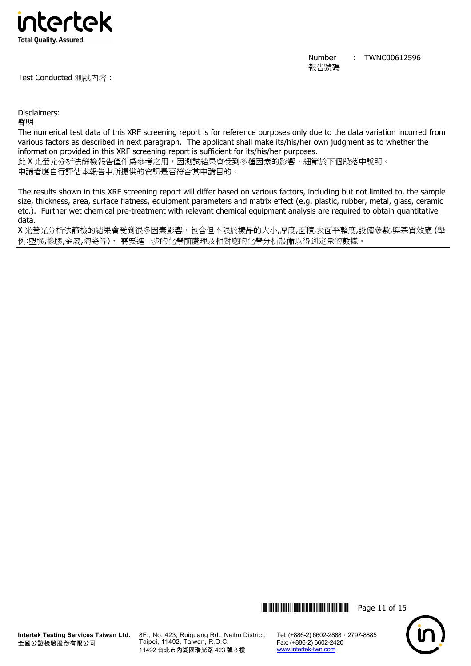

Test Conducted 測試內容 :

Number 報告號碼 : TWNC00612596

Disclaimers:

聲明

The numerical test data of this XRF screening report is for reference purposes only due to the data variation incurred from various factors as described in next paragraph. The applicant shall make its/his/her own judgment as to whether the information provided in this XRF screening report is sufficient for its/his/her purposes.

此 X 光螢光分析法篩檢報告僅作為參考之用,因測試結果會受到多種因素的影響,細節於下個段落中說明。 申請者應自行評估本報告中所提供的資訊是否符合其申請目的。

The results shown in this XRF screening report will differ based on various factors, including but not limited to, the sample size, thickness, area, surface flatness, equipment parameters and matrix effect (e.g. plastic, rubber, metal, glass, ceramic etc.). Further wet chemical pre-treatment with relevant chemical equipment analysis are required to obtain quantitative data.

X 光螢光分析法篩檢的結果會受到很多因素影響,包含但不限於樣品的大小,厚度,面積,表面平整度,設備參數,與基質效應 (舉 例:塑膠,橡膠,金屬,陶瓷等), 需要進一步的化學前處理及相對應的化學分析設備以得到定量的數據。



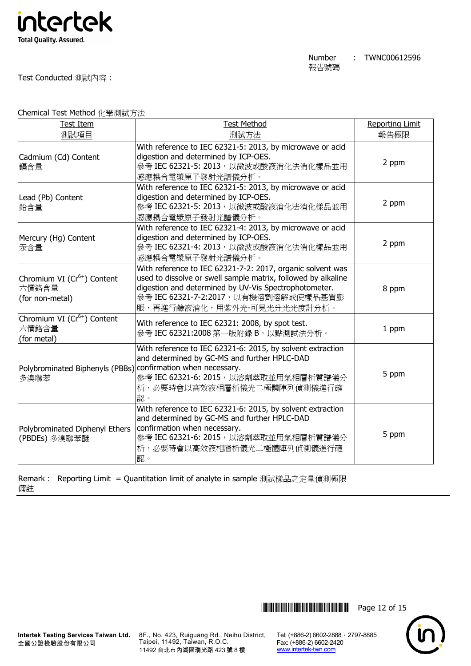

Test Conducted 測試內容 :

Chemical Test Method 化學測試方法

| <b>Test Item</b>                                                    | <b>Test Method</b>                                                                                                                                                                                                                                          | <b>Reporting Limit</b> |
|---------------------------------------------------------------------|-------------------------------------------------------------------------------------------------------------------------------------------------------------------------------------------------------------------------------------------------------------|------------------------|
| 測試項目                                                                | 測試方法                                                                                                                                                                                                                                                        | 報告極限                   |
| Cadmium (Cd) Content<br>鎘含量                                         | With reference to IEC 62321-5: 2013, by microwave or acid<br>digestion and determined by ICP-OES.<br>參考 IEC 62321-5: 2013, 以微波或酸液消化法消化樣品並用<br>感應耦合電漿原子發射光譜儀分析。                                                                                              | 2 ppm                  |
| Lead (Pb) Content<br>鉛含量                                            | With reference to IEC 62321-5: 2013, by microwave or acid<br>digestion and determined by ICP-OES.<br>參考 IEC 62321-5: 2013, 以微波或酸液消化法消化樣品並用<br>感應耦合電漿原子發射光譜儀分析。                                                                                              | 2 ppm                  |
| Mercury (Hg) Content<br>汞含量                                         | With reference to IEC 62321-4: 2013, by microwave or acid<br>digestion and determined by ICP-OES.<br>參考 IEC 62321-4: 2013, 以微波或酸液消化法消化樣品並用<br>感應耦合電漿原子發射光譜儀分析。                                                                                              | 2 ppm                  |
| Chromium VI (Cr <sup>6+</sup> ) Content<br>六價鉻含量<br>(for non-metal) | With reference to IEC 62321-7-2: 2017, organic solvent was<br>used to dissolve or swell sample matrix, followed by alkaline<br>digestion and determined by UV-Vis Spectrophotometer.<br>參考 IEC 62321-7-2:2017, 以有機溶劑溶解或使樣品基質膨<br>脹,再進行鹼液消化,用紫外光-可見光分光光度計分析。 | 8 ppm                  |
| Chromium VI (Cr <sup>6+</sup> ) Content<br>六價鉻含量<br>(for metal)     | With reference to IEC 62321: 2008, by spot test.<br>參考 IEC 62321:2008 第一版附錄 B, 以點測試法分析。                                                                                                                                                                     | 1 ppm                  |
| Polybrominated Biphenyls (PBBs)<br>多溴聯苯                             | With reference to IEC 62321-6: 2015, by solvent extraction<br>and determined by GC-MS and further HPLC-DAD<br>confirmation when necessary.<br>參考 IEC 62321-6: 2015, 以溶劑萃取並用氣相層析質譜儀分<br>析,必要時會以高效液相層析儀光二極體陣列偵測儀進行確<br>認。                                     | 5 ppm                  |
| Polybrominated Diphenyl Ethers<br>(PBDEs) 多溴聯苯醚                     | With reference to IEC 62321-6: 2015, by solvent extraction<br>and determined by GC-MS and further HPLC-DAD<br>confirmation when necessary.<br>參考 IEC 62321-6: 2015, 以溶劑萃取並用氣相層析質譜儀分<br>析,必要時會以高效液相層析儀光二極體陣列偵測儀進行確<br>認。                                     | 5 ppm                  |

Remark : Reporting Limit = Quantitation limit of analyte in sample 測試樣品之定量偵測極限 備註



8F., No. 423, Ruiguang Rd., Neihu District, Taipei, 11492, Taiwan, R.O.C. 11492 台北市內湖區瑞光路 423 號 8 樓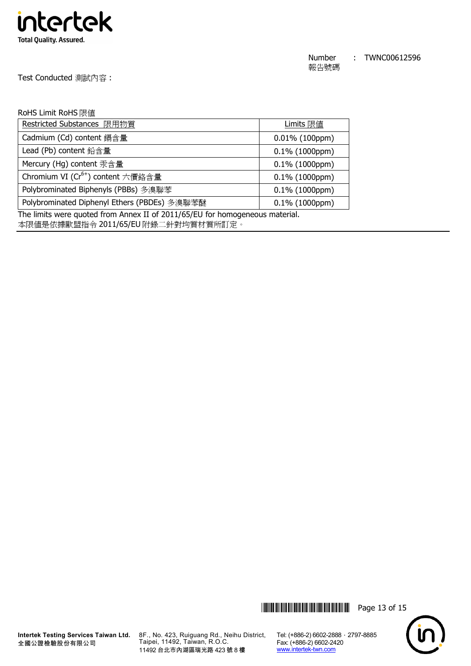

Test Conducted 測試內容 :

## RoHS Limit RoHS 限值

| Restricted Substances 限用物質                    | Limits 限值         |  |
|-----------------------------------------------|-------------------|--|
| Cadmium (Cd) content 鎘含量                      | $0.01\%$ (100ppm) |  |
| Lead (Pb) content 鉛含量                         | $0.1\%$ (1000ppm) |  |
| Mercury (Hg) content 汞含量                      | $0.1\%$ (1000ppm) |  |
| Chromium VI (Cr <sup>6+</sup> ) content 六價鉻含量 | $0.1\%$ (1000ppm) |  |
| Polybrominated Biphenyls (PBBs) 多溴聯苯          | $0.1\%$ (1000ppm) |  |
| Polybrominated Diphenyl Ethers (PBDEs) 多溴聯苯醚  | $0.1\%$ (1000ppm) |  |

The limits were quoted from Annex II of 2011/65/EU for homogeneous material.

本限值是依據歐盟指令 2011/65/EU 附錄二針對均質材質所訂定。





8F., No. 423, Ruiguang Rd., Neihu District, Taipei, 11492, Taiwan, R.O.C. 11492 台北市內湖區瑞光路 423 號 8 樓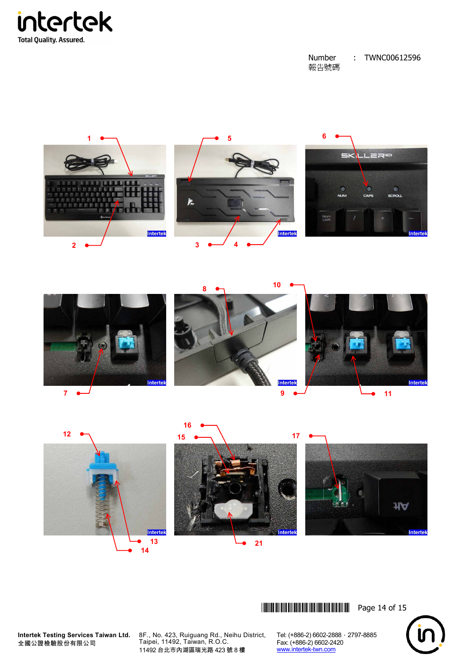











\*THJ0612596\* Page 14 of 15



**Intertek Testing Services Taiwan Ltd.** 全國公證檢驗股份有限公司

8F., No. 423, Ruiguang Rd., Neihu District, Taipei, 11492, Taiwan, R.O.C. 台北市內湖區瑞光路 423 號 8 樓